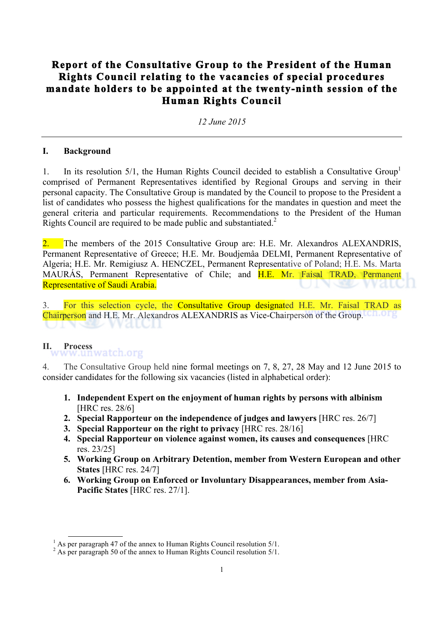# **Report of the Consultative Group to the President of the Human Rights Council relating to the vacancies of special procedures mandate holders to be appointed at the twenty-ninth session of the Human Rights Council**

*12 June 2015*

#### **I. Background**

1. In its resolution  $5/1$ , the Human Rights Council decided to establish a Consultative Group<sup>1</sup> comprised of Permanent Representatives identified by Regional Groups and serving in their personal capacity. The Consultative Group is mandated by the Council to propose to the President a list of candidates who possess the highest qualifications for the mandates in question and meet the general criteria and particular requirements. Recommendations to the President of the Human Rights Council are required to be made public and substantiated. $2^2$ 

2. The members of the 2015 Consultative Group are: H.E. Mr. Alexandros ALEXANDRIS, Permanent Representative of Greece; H.E. Mr. Boudjemâa DELMI, Permanent Representative of Algeria; H.E. Mr. Remigiusz A. HENCZEL, Permanent Representative of Poland; H.E. Ms. Marta MAURÁS, Permanent Representative of Chile; and H.E. Mr. Faisal TRAD, Permanent Representative of Saudi Arabia.

3. For this selection cycle, the Consultative Group designated H.E. Mr. Faisal TRAD as Chairperson and H.E. Mr. Alexandros ALEXANDRIS as Vice-Chairperson of the Group. Ch.OFG

**II. Process**

4. The Consultative Group held nine formal meetings on 7, 8, 27, 28 May and 12 June 2015 to consider candidates for the following six vacancies (listed in alphabetical order):

- **1. Independent Expert on the enjoyment of human rights by persons with albinism** [HRC res. 28/6]
- **2. Special Rapporteur on the independence of judges and lawyers** [HRC res. 26/7]
- **3. Special Rapporteur on the right to privacy** [HRC res. 28/16]
- **4. Special Rapporteur on violence against women, its causes and consequences** [HRC res. 23/25]
- **5. Working Group on Arbitrary Detention, member from Western European and other States** [HRC res. 24/7]
- **6. Working Group on Enforced or Involuntary Disappearances, member from Asia-Pacific States** [HRC res. 27/1].

 $<sup>1</sup>$  As per paragraph 47 of the annex to Human Rights Council resolution 5/1.</sup>

<sup>&</sup>lt;sup>2</sup> As per paragraph 50 of the annex to Human Rights Council resolution  $5/1$ .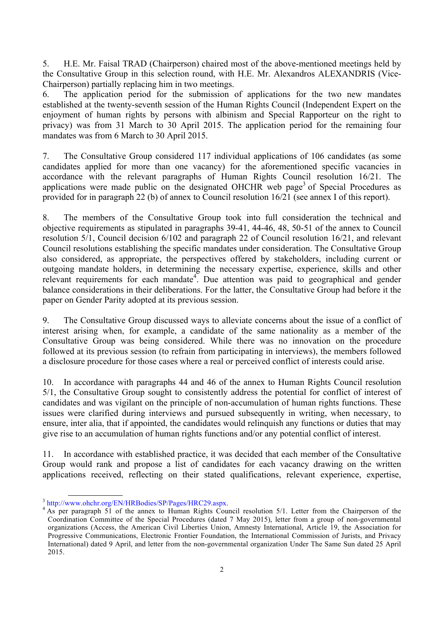5. H.E. Mr. Faisal TRAD (Chairperson) chaired most of the above-mentioned meetings held by the Consultative Group in this selection round, with H.E. Mr. Alexandros ALEXANDRIS (Vice-Chairperson) partially replacing him in two meetings.

6. The application period for the submission of applications for the two new mandates established at the twenty-seventh session of the Human Rights Council (Independent Expert on the enjoyment of human rights by persons with albinism and Special Rapporteur on the right to privacy) was from 31 March to 30 April 2015. The application period for the remaining four mandates was from 6 March to 30 April 2015.

7. The Consultative Group considered 117 individual applications of 106 candidates (as some candidates applied for more than one vacancy) for the aforementioned specific vacancies in accordance with the relevant paragraphs of Human Rights Council resolution 16/21. The applications were made public on the designated OHCHR web page<sup>3</sup> of Special Procedures as provided for in paragraph 22 (b) of annex to Council resolution 16/21 (see annex I of this report).

8. The members of the Consultative Group took into full consideration the technical and objective requirements as stipulated in paragraphs 39-41, 44-46, 48, 50-51 of the annex to Council resolution 5/1, Council decision 6/102 and paragraph 22 of Council resolution 16/21, and relevant Council resolutions establishing the specific mandates under consideration. The Consultative Group also considered, as appropriate, the perspectives offered by stakeholders, including current or outgoing mandate holders, in determining the necessary expertise, experience, skills and other relevant requirements for each mandate<sup>4</sup>. Due attention was paid to geographical and gender balance considerations in their deliberations. For the latter, the Consultative Group had before it the paper on Gender Parity adopted at its previous session.

9. The Consultative Group discussed ways to alleviate concerns about the issue of a conflict of interest arising when, for example, a candidate of the same nationality as a member of the Consultative Group was being considered. While there was no innovation on the procedure followed at its previous session (to refrain from participating in interviews), the members followed a disclosure procedure for those cases where a real or perceived conflict of interests could arise.

10. In accordance with paragraphs 44 and 46 of the annex to Human Rights Council resolution 5/1, the Consultative Group sought to consistently address the potential for conflict of interest of candidates and was vigilant on the principle of non-accumulation of human rights functions. These issues were clarified during interviews and pursued subsequently in writing, when necessary, to ensure, inter alia, that if appointed, the candidates would relinquish any functions or duties that may give rise to an accumulation of human rights functions and/or any potential conflict of interest.

11. In accordance with established practice, it was decided that each member of the Consultative Group would rank and propose a list of candidates for each vacancy drawing on the written applications received, reflecting on their stated qualifications, relevant experience, expertise,

 $3 \text{ http://www.ohchr.org/EN/HRBodies/SP/Pages/HRC29.aspx.}$ <br>  $4 \text{ As per paragraph 51 of the annex to Human Rights Council resolution 5/1. Letter from the Chairperson of the$ Coordination Committee of the Special Procedures (dated 7 May 2015), letter from a group of non-governmental organizations (Access, the American Civil Liberties Union, Amnesty International, Article 19, the Association for Progressive Communications, Electronic Frontier Foundation, the International Commission of Jurists, and Privacy International) dated 9 April, and letter from the non-governmental organization Under The Same Sun dated 25 April 2015.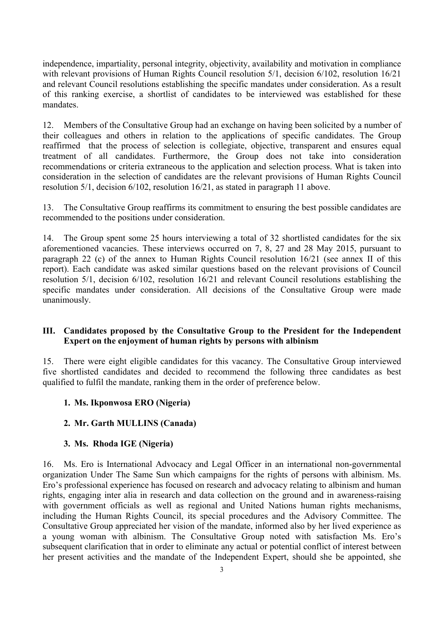independence, impartiality, personal integrity, objectivity, availability and motivation in compliance with relevant provisions of Human Rights Council resolution 5/1, decision 6/102, resolution 16/21 and relevant Council resolutions establishing the specific mandates under consideration. As a result of this ranking exercise, a shortlist of candidates to be interviewed was established for these mandates.

12. Members of the Consultative Group had an exchange on having been solicited by a number of their colleagues and others in relation to the applications of specific candidates. The Group reaffirmed that the process of selection is collegiate, objective, transparent and ensures equal treatment of all candidates. Furthermore, the Group does not take into consideration recommendations or criteria extraneous to the application and selection process. What is taken into consideration in the selection of candidates are the relevant provisions of Human Rights Council resolution 5/1, decision 6/102, resolution 16/21, as stated in paragraph 11 above.

13. The Consultative Group reaffirms its commitment to ensuring the best possible candidates are recommended to the positions under consideration.

14. The Group spent some 25 hours interviewing a total of 32 shortlisted candidates for the six aforementioned vacancies. These interviews occurred on 7, 8, 27 and 28 May 2015, pursuant to paragraph 22 (c) of the annex to Human Rights Council resolution 16/21 (see annex II of this report). Each candidate was asked similar questions based on the relevant provisions of Council resolution 5/1, decision 6/102, resolution 16/21 and relevant Council resolutions establishing the specific mandates under consideration. All decisions of the Consultative Group were made unanimously.

#### **III. Candidates proposed by the Consultative Group to the President for the Independent Expert on the enjoyment of human rights by persons with albinism**

15. There were eight eligible candidates for this vacancy. The Consultative Group interviewed five shortlisted candidates and decided to recommend the following three candidates as best qualified to fulfil the mandate, ranking them in the order of preference below.

### **1. Ms. Ikponwosa ERO (Nigeria)**

#### **2. Mr. Garth MULLINS (Canada)**

#### **3. Ms. Rhoda IGE (Nigeria)**

16. Ms. Ero is International Advocacy and Legal Officer in an international non-governmental organization Under The Same Sun which campaigns for the rights of persons with albinism. Ms. Ero's professional experience has focused on research and advocacy relating to albinism and human rights, engaging inter alia in research and data collection on the ground and in awareness-raising with government officials as well as regional and United Nations human rights mechanisms, including the Human Rights Council, its special procedures and the Advisory Committee. The Consultative Group appreciated her vision of the mandate, informed also by her lived experience as a young woman with albinism. The Consultative Group noted with satisfaction Ms. Ero's subsequent clarification that in order to eliminate any actual or potential conflict of interest between her present activities and the mandate of the Independent Expert, should she be appointed, she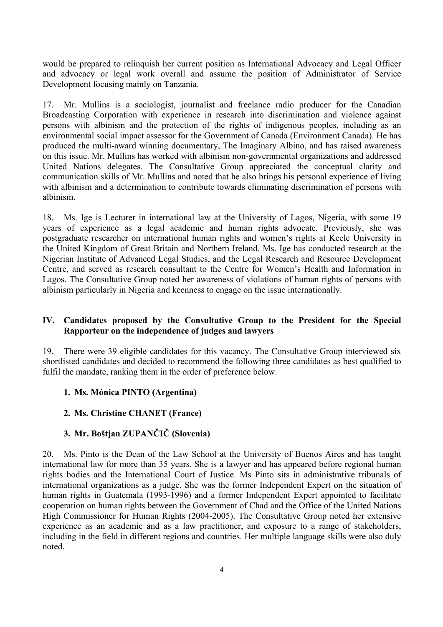would be prepared to relinquish her current position as International Advocacy and Legal Officer and advocacy or legal work overall and assume the position of Administrator of Service Development focusing mainly on Tanzania.

17. Mr. Mullins is a sociologist, journalist and freelance radio producer for the Canadian Broadcasting Corporation with experience in research into discrimination and violence against persons with albinism and the protection of the rights of indigenous peoples, including as an environmental social impact assessor for the Government of Canada (Environment Canada). He has produced the multi-award winning documentary, The Imaginary Albino, and has raised awareness on this issue. Mr. Mullins has worked with albinism non-governmental organizations and addressed United Nations delegates. The Consultative Group appreciated the conceptual clarity and communication skills of Mr. Mullins and noted that he also brings his personal experience of living with albinism and a determination to contribute towards eliminating discrimination of persons with albinism.

18. Ms. Ige is Lecturer in international law at the University of Lagos, Nigeria, with some 19 years of experience as a legal academic and human rights advocate. Previously, she was postgraduate researcher on international human rights and women's rights at Keele University in the United Kingdom of Great Britain and Northern Ireland. Ms. Ige has conducted research at the Nigerian Institute of Advanced Legal Studies, and the Legal Research and Resource Development Centre, and served as research consultant to the Centre for Women's Health and Information in Lagos. The Consultative Group noted her awareness of violations of human rights of persons with albinism particularly in Nigeria and keenness to engage on the issue internationally.

#### **IV. Candidates proposed by the Consultative Group to the President for the Special Rapporteur on the independence of judges and lawyers**

19. There were 39 eligible candidates for this vacancy. The Consultative Group interviewed six shortlisted candidates and decided to recommend the following three candidates as best qualified to fulfil the mandate, ranking them in the order of preference below.

#### **1. Ms. Mónica PINTO (Argentina)**

#### **2. Ms. Christine CHANET (France)**

### **3. Mr. Boštjan ZUPANČIČ (Slovenia)**

20. Ms. Pinto is the Dean of the Law School at the University of Buenos Aires and has taught international law for more than 35 years. She is a lawyer and has appeared before regional human rights bodies and the International Court of Justice. Ms Pinto sits in administrative tribunals of international organizations as a judge. She was the former Independent Expert on the situation of human rights in Guatemala (1993-1996) and a former Independent Expert appointed to facilitate cooperation on human rights between the Government of Chad and the Office of the United Nations High Commissioner for Human Rights (2004-2005). The Consultative Group noted her extensive experience as an academic and as a law practitioner, and exposure to a range of stakeholders, including in the field in different regions and countries. Her multiple language skills were also duly noted.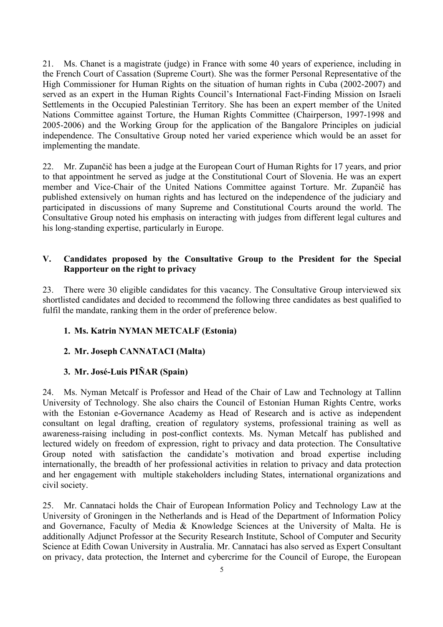21. Ms. Chanet is a magistrate (judge) in France with some 40 years of experience, including in the French Court of Cassation (Supreme Court). She was the former Personal Representative of the High Commissioner for Human Rights on the situation of human rights in Cuba (2002-2007) and served as an expert in the Human Rights Council's International Fact-Finding Mission on Israeli Settlements in the Occupied Palestinian Territory. She has been an expert member of the United Nations Committee against Torture, the Human Rights Committee (Chairperson, 1997-1998 and 2005-2006) and the Working Group for the application of the Bangalore Principles on judicial independence. The Consultative Group noted her varied experience which would be an asset for implementing the mandate.

22. Mr. Zupančič has been a judge at the European Court of Human Rights for 17 years, and prior to that appointment he served as judge at the Constitutional Court of Slovenia. He was an expert member and Vice-Chair of the United Nations Committee against Torture. Mr. Zupančič has published extensively on human rights and has lectured on the independence of the judiciary and participated in discussions of many Supreme and Constitutional Courts around the world. The Consultative Group noted his emphasis on interacting with judges from different legal cultures and his long-standing expertise, particularly in Europe.

#### **V. Candidates proposed by the Consultative Group to the President for the Special Rapporteur on the right to privacy**

23. There were 30 eligible candidates for this vacancy. The Consultative Group interviewed six shortlisted candidates and decided to recommend the following three candidates as best qualified to fulfil the mandate, ranking them in the order of preference below.

## **1. Ms. Katrin NYMAN METCALF (Estonia)**

### **2. Mr. Joseph CANNATACI (Malta)**

### **3. Mr. José-Luis PIÑAR (Spain)**

24. Ms. Nyman Metcalf is Professor and Head of the Chair of Law and Technology at Tallinn University of Technology. She also chairs the Council of Estonian Human Rights Centre, works with the Estonian e-Governance Academy as Head of Research and is active as independent consultant on legal drafting, creation of regulatory systems, professional training as well as awareness-raising including in post-conflict contexts. Ms. Nyman Metcalf has published and lectured widely on freedom of expression, right to privacy and data protection. The Consultative Group noted with satisfaction the candidate's motivation and broad expertise including internationally, the breadth of her professional activities in relation to privacy and data protection and her engagement with multiple stakeholders including States, international organizations and civil society.

25. Mr. Cannataci holds the Chair of European Information Policy and Technology Law at the University of Groningen in the Netherlands and is Head of the Department of Information Policy and Governance, Faculty of Media & Knowledge Sciences at the University of Malta. He is additionally Adjunct Professor at the Security Research Institute, School of Computer and Security Science at Edith Cowan University in Australia. Mr. Cannataci has also served as Expert Consultant on privacy, data protection, the Internet and cybercrime for the Council of Europe, the European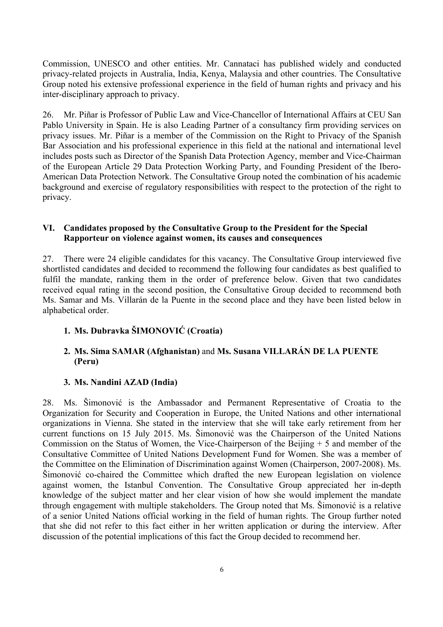Commission, UNESCO and other entities. Mr. Cannataci has published widely and conducted privacy-related projects in Australia, India, Kenya, Malaysia and other countries. The Consultative Group noted his extensive professional experience in the field of human rights and privacy and his inter-disciplinary approach to privacy.

26. Mr. Piñar is Professor of Public Law and Vice-Chancellor of International Affairs at CEU San Pablo University in Spain. He is also Leading Partner of a consultancy firm providing services on privacy issues. Mr. Piñar is a member of the Commission on the Right to Privacy of the Spanish Bar Association and his professional experience in this field at the national and international level includes posts such as Director of the Spanish Data Protection Agency, member and Vice-Chairman of the European Article 29 Data Protection Working Party, and Founding President of the Ibero-American Data Protection Network. The Consultative Group noted the combination of his academic background and exercise of regulatory responsibilities with respect to the protection of the right to privacy.

#### **VI. Candidates proposed by the Consultative Group to the President for the Special Rapporteur on violence against women, its causes and consequences**

27. There were 24 eligible candidates for this vacancy. The Consultative Group interviewed five shortlisted candidates and decided to recommend the following four candidates as best qualified to fulfil the mandate, ranking them in the order of preference below. Given that two candidates received equal rating in the second position, the Consultative Group decided to recommend both Ms. Samar and Ms. Villarán de la Puente in the second place and they have been listed below in alphabetical order.

## **1. Ms. Dubravka ŠIMONOVIĆ (Croatia)**

#### **2. Ms. Sima SAMAR (Afghanistan)** and **Ms. Susana VILLARÁN DE LA PUENTE (Peru)**

#### **3. Ms. Nandini AZAD (India)**

28. Ms. Šimonović is the Ambassador and Permanent Representative of Croatia to the Organization for Security and Cooperation in Europe, the United Nations and other international organizations in Vienna. She stated in the interview that she will take early retirement from her current functions on 15 July 2015. Ms. Šimonović was the Chairperson of the United Nations Commission on the Status of Women, the Vice-Chairperson of the Beijing + 5 and member of the Consultative Committee of United Nations Development Fund for Women. She was a member of the Committee on the Elimination of Discrimination against Women (Chairperson, 2007-2008). Ms. Šimonović co-chaired the Committee which drafted the new European legislation on violence against women, the Istanbul Convention. The Consultative Group appreciated her in-depth knowledge of the subject matter and her clear vision of how she would implement the mandate through engagement with multiple stakeholders. The Group noted that Ms. Šimonović is a relative of a senior United Nations official working in the field of human rights. The Group further noted that she did not refer to this fact either in her written application or during the interview. After discussion of the potential implications of this fact the Group decided to recommend her.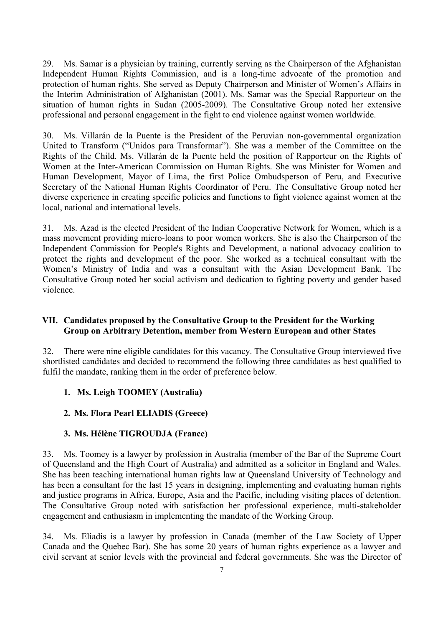29. Ms. Samar is a physician by training, currently serving as the Chairperson of the Afghanistan Independent Human Rights Commission, and is a long-time advocate of the promotion and protection of human rights. She served as Deputy Chairperson and Minister of Women's Affairs in the Interim Administration of Afghanistan (2001). Ms. Samar was the Special Rapporteur on the situation of human rights in Sudan (2005-2009). The Consultative Group noted her extensive professional and personal engagement in the fight to end violence against women worldwide.

30. Ms. Villarán de la Puente is the President of the Peruvian non-governmental organization United to Transform ("Unidos para Transformar"). She was a member of the Committee on the Rights of the Child. Ms. Villarán de la Puente held the position of Rapporteur on the Rights of Women at the Inter-American Commission on Human Rights. She was Minister for Women and Human Development, Mayor of Lima, the first Police Ombudsperson of Peru, and Executive Secretary of the National Human Rights Coordinator of Peru. The Consultative Group noted her diverse experience in creating specific policies and functions to fight violence against women at the local, national and international levels.

31. Ms. Azad is the elected President of the Indian Cooperative Network for Women, which is a mass movement providing micro-loans to poor women workers. She is also the Chairperson of the Independent Commission for People's Rights and Development, a national advocacy coalition to protect the rights and development of the poor. She worked as a technical consultant with the Women's Ministry of India and was a consultant with the Asian Development Bank. The Consultative Group noted her social activism and dedication to fighting poverty and gender based violence.

### **VII. Candidates proposed by the Consultative Group to the President for the Working Group on Arbitrary Detention, member from Western European and other States**

32. There were nine eligible candidates for this vacancy. The Consultative Group interviewed five shortlisted candidates and decided to recommend the following three candidates as best qualified to fulfil the mandate, ranking them in the order of preference below.

### **1. Ms. Leigh TOOMEY (Australia)**

#### **2. Ms. Flora Pearl ELIADIS (Greece)**

### **3. Ms. Hélène TIGROUDJA (France)**

33. Ms. Toomey is a lawyer by profession in Australia (member of the Bar of the Supreme Court of Queensland and the High Court of Australia) and admitted as a solicitor in England and Wales. She has been teaching international human rights law at Queensland University of Technology and has been a consultant for the last 15 years in designing, implementing and evaluating human rights and justice programs in Africa, Europe, Asia and the Pacific, including visiting places of detention. The Consultative Group noted with satisfaction her professional experience, multi-stakeholder engagement and enthusiasm in implementing the mandate of the Working Group.

34. Ms. Eliadis is a lawyer by profession in Canada (member of the Law Society of Upper Canada and the Quebec Bar). She has some 20 years of human rights experience as a lawyer and civil servant at senior levels with the provincial and federal governments. She was the Director of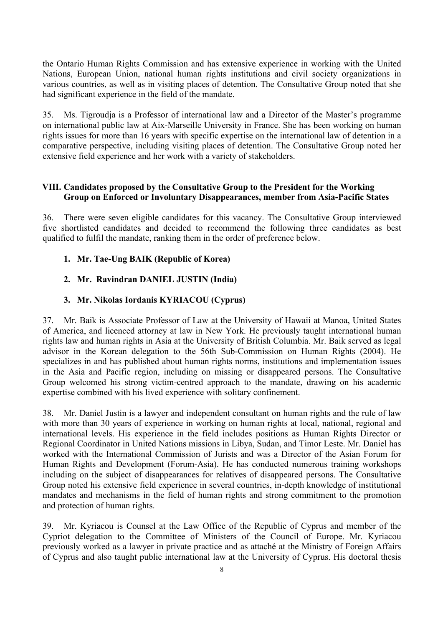the Ontario Human Rights Commission and has extensive experience in working with the United Nations, European Union, national human rights institutions and civil society organizations in various countries, as well as in visiting places of detention. The Consultative Group noted that she had significant experience in the field of the mandate.

35. Ms. Tigroudja is a Professor of international law and a Director of the Master's programme on international public law at Aix-Marseille University in France. She has been working on human rights issues for more than 16 years with specific expertise on the international law of detention in a comparative perspective, including visiting places of detention. The Consultative Group noted her extensive field experience and her work with a variety of stakeholders.

#### **VIII. Candidates proposed by the Consultative Group to the President for the Working Group on Enforced or Involuntary Disappearances, member from Asia-Pacific States**

36. There were seven eligible candidates for this vacancy. The Consultative Group interviewed five shortlisted candidates and decided to recommend the following three candidates as best qualified to fulfil the mandate, ranking them in the order of preference below.

### **1. Mr. Tae-Ung BAIK (Republic of Korea)**

### **2. Mr. Ravindran DANIEL JUSTIN (India)**

#### **3. Mr. Nikolas Iordanis KYRIACOU (Cyprus)**

37. Mr. Baik is Associate Professor of Law at the University of Hawaii at Manoa, United States of America, and licenced attorney at law in New York. He previously taught international human rights law and human rights in Asia at the University of British Columbia. Mr. Baik served as legal advisor in the Korean delegation to the 56th Sub-Commission on Human Rights (2004). He specializes in and has published about human rights norms, institutions and implementation issues in the Asia and Pacific region, including on missing or disappeared persons. The Consultative Group welcomed his strong victim-centred approach to the mandate, drawing on his academic expertise combined with his lived experience with solitary confinement.

38. Mr. Daniel Justin is a lawyer and independent consultant on human rights and the rule of law with more than 30 years of experience in working on human rights at local, national, regional and international levels. His experience in the field includes positions as Human Rights Director or Regional Coordinator in United Nations missions in Libya, Sudan, and Timor Leste. Mr. Daniel has worked with the International Commission of Jurists and was a Director of the Asian Forum for Human Rights and Development (Forum-Asia). He has conducted numerous training workshops including on the subject of disappearances for relatives of disappeared persons. The Consultative Group noted his extensive field experience in several countries, in-depth knowledge of institutional mandates and mechanisms in the field of human rights and strong commitment to the promotion and protection of human rights.

39. Mr. Kyriacou is Counsel at the Law Office of the Republic of Cyprus and member of the Cypriot delegation to the Committee of Ministers of the Council of Europe. Mr. Kyriacou previously worked as a lawyer in private practice and as attaché at the Ministry of Foreign Affairs of Cyprus and also taught public international law at the University of Cyprus. His doctoral thesis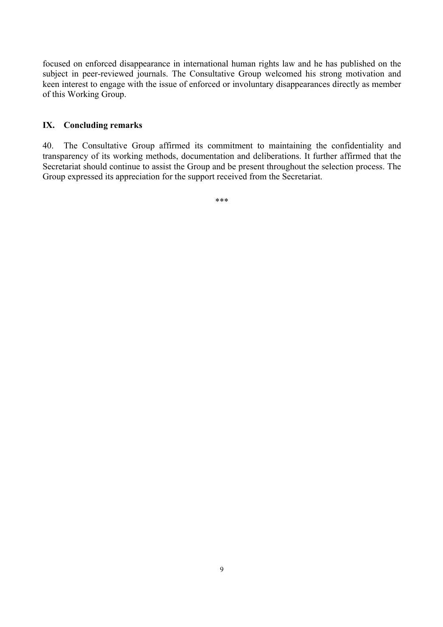focused on enforced disappearance in international human rights law and he has published on the subject in peer-reviewed journals. The Consultative Group welcomed his strong motivation and keen interest to engage with the issue of enforced or involuntary disappearances directly as member of this Working Group.

### **IX. Concluding remarks**

40. The Consultative Group affirmed its commitment to maintaining the confidentiality and transparency of its working methods, documentation and deliberations. It further affirmed that the Secretariat should continue to assist the Group and be present throughout the selection process. The Group expressed its appreciation for the support received from the Secretariat.

\*\*\*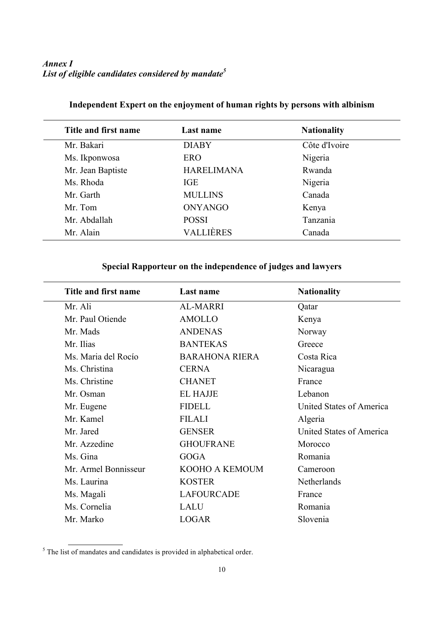| Title and first name | Last name         | <b>Nationality</b> |  |
|----------------------|-------------------|--------------------|--|
| Mr. Bakari           | <b>DIABY</b>      | Côte d'Ivoire      |  |
| Ms. Ikponwosa        | ERO               | Nigeria            |  |
| Mr. Jean Baptiste    | <b>HARELIMANA</b> | Rwanda             |  |
| Ms. Rhoda            | <b>IGE</b>        | Nigeria            |  |
| Mr. Garth            | <b>MULLINS</b>    | Canada             |  |
| Mr. Tom              | <b>ONYANGO</b>    | Kenya              |  |
| Mr. Abdallah         | <b>POSSI</b>      | Tanzania           |  |
| Mr. Alain            | VALLIÈRES         | Canada             |  |

# **Independent Expert on the enjoyment of human rights by persons with albinism**

# **Special Rapporteur on the independence of judges and lawyers**

| Title and first name | Last name             | <b>Nationality</b>              |
|----------------------|-----------------------|---------------------------------|
| Mr. Ali              | <b>AL-MARRI</b>       | Qatar                           |
| Mr. Paul Otiende     | <b>AMOLLO</b>         | Kenya                           |
| Mr. Mads             | <b>ANDENAS</b>        | Norway                          |
| Mr. Ilias            | <b>BANTEKAS</b>       | Greece                          |
| Ms. Maria del Rocío  | <b>BARAHONA RIERA</b> | Costa Rica                      |
| Ms. Christina        | <b>CERNA</b>          | Nicaragua                       |
| Ms. Christine        | <b>CHANET</b>         | France                          |
| Mr. Osman            | <b>EL HAJJE</b>       | Lebanon                         |
| Mr. Eugene           | <b>FIDELL</b>         | United States of America        |
| Mr. Kamel            | <b>FILALI</b>         | Algeria                         |
| Mr. Jared            | <b>GENSER</b>         | <b>United States of America</b> |
| Mr. Azzedine         | <b>GHOUFRANE</b>      | Morocco                         |
| Ms. Gina             | <b>GOGA</b>           | Romania                         |
| Mr. Armel Bonnisseur | KOOHO A KEMOUM        | Cameroon                        |
| Ms. Laurina          | <b>KOSTER</b>         | Netherlands                     |
| Ms. Magali           | <b>LAFOURCADE</b>     | France                          |
| Ms. Cornelia         | LALU                  | Romania                         |
| Mr. Marko            | <b>LOGAR</b>          | Slovenia                        |
|                      |                       |                                 |

 $<sup>5</sup>$  The list of mandates and candidates is provided in alphabetical order.</sup>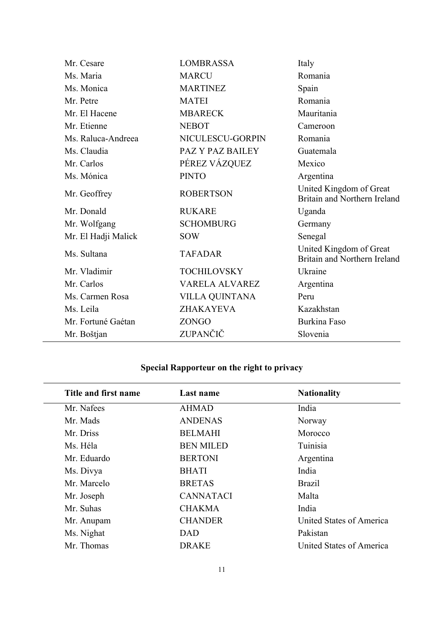| Mr. Cesare          | <b>LOMBRASSA</b>      | Italy                                                   |
|---------------------|-----------------------|---------------------------------------------------------|
| Ms. Maria           | <b>MARCU</b>          | Romania                                                 |
| Ms. Monica          | <b>MARTINEZ</b>       | Spain                                                   |
| Mr. Petre           | <b>MATEI</b>          | Romania                                                 |
| Mr. El Hacene       | <b>MBARECK</b>        | Mauritania                                              |
| Mr. Etienne         | <b>NEBOT</b>          | Cameroon                                                |
| Ms. Raluca-Andreea  | NICULESCU-GORPIN      | Romania                                                 |
| Ms. Claudia         | PAZ Y PAZ BAILEY      | Guatemala                                               |
| Mr. Carlos          | PÉREZ VÁZQUEZ         | Mexico                                                  |
| Ms. Mónica          | <b>PINTO</b>          | Argentina                                               |
| Mr. Geoffrey        | <b>ROBERTSON</b>      | United Kingdom of Great<br>Britain and Northern Ireland |
| Mr. Donald          | <b>RUKARE</b>         | Uganda                                                  |
| Mr. Wolfgang        | <b>SCHOMBURG</b>      | Germany                                                 |
| Mr. El Hadji Malick | <b>SOW</b>            | Senegal                                                 |
| Ms. Sultana         | <b>TAFADAR</b>        | United Kingdom of Great<br>Britain and Northern Ireland |
| Mr. Vladimir        | <b>TOCHILOVSKY</b>    | Ukraine                                                 |
| Mr. Carlos          | VARELA ALVAREZ        | Argentina                                               |
| Ms. Carmen Rosa     | <b>VILLA QUINTANA</b> | Peru                                                    |
| Ms. Leila           | ZHAKAYEVA             | Kazakhstan                                              |
| Mr. Fortuné Gaétan  | ZONGO                 | Burkina Faso                                            |
| Mr. Boštjan         | ZUPANČIČ              | Slovenia                                                |

# **Special Rapporteur on the right to privacy**

| Last name        | <b>Nationality</b>       |
|------------------|--------------------------|
| <b>AHMAD</b>     | India                    |
| <b>ANDENAS</b>   | Norway                   |
| <b>BELMAHI</b>   | Morocco                  |
| <b>BEN MILED</b> | Tuinisia                 |
| <b>BERTONI</b>   | Argentina                |
| <b>BHATI</b>     | India                    |
| <b>BRETAS</b>    | <b>Brazil</b>            |
| <b>CANNATACI</b> | Malta                    |
| <b>CHAKMA</b>    | India                    |
| <b>CHANDER</b>   | United States of America |
| DAD              | Pakistan                 |
| <b>DRAKE</b>     | United States of America |
|                  |                          |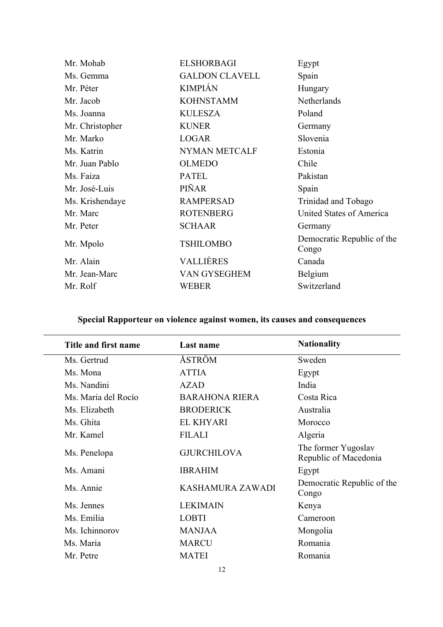| Mr. Mohab       | <b>ELSHORBAGI</b>     | Egypt                               |
|-----------------|-----------------------|-------------------------------------|
| Ms. Gemma       | <b>GALDON CLAVELL</b> | Spain                               |
| Mr. Péter       | <b>KIMPIÁN</b>        | Hungary                             |
| Mr. Jacob       | <b>KOHNSTAMM</b>      | Netherlands                         |
| Ms. Joanna      | <b>KULESZA</b>        | Poland                              |
| Mr. Christopher | <b>KUNER</b>          | Germany                             |
| Mr. Marko       | <b>LOGAR</b>          | Slovenia                            |
| Ms. Katrin      | <b>NYMAN METCALF</b>  | Estonia                             |
| Mr. Juan Pablo  | <b>OLMEDO</b>         | Chile                               |
| Ms. Faiza       | <b>PATEL</b>          | Pakistan                            |
| Mr. José-Luis   | PIÑAR                 | Spain                               |
| Ms. Krishendaye | <b>RAMPERSAD</b>      | Trinidad and Tobago                 |
| Mr. Marc        | <b>ROTENBERG</b>      | <b>United States of America</b>     |
| Mr. Peter       | <b>SCHAAR</b>         | Germany                             |
| Mr. Mpolo       | <b>TSHILOMBO</b>      | Democratic Republic of the<br>Congo |
| Mr. Alain       | <b>VALLIÈRES</b>      | Canada                              |
| Mr. Jean-Marc   | VAN GYSEGHEM          | Belgium                             |
| Mr. Rolf        | <b>WEBER</b>          | Switzerland                         |
|                 |                       |                                     |

# **Special Rapporteur on violence against women, its causes and consequences**

| Title and first name | Last name               | <b>Nationality</b>                           |
|----------------------|-------------------------|----------------------------------------------|
| Ms. Gertrud          | ÅSTRÖM                  | Sweden                                       |
| Ms. Mona             | <b>ATTIA</b>            | Egypt                                        |
| Ms. Nandini          | <b>AZAD</b>             | India                                        |
| Ms. Maria del Rocío  | <b>BARAHONA RIERA</b>   | Costa Rica                                   |
| Ms. Elizabeth        | <b>BRODERICK</b>        | Australia                                    |
| Ms. Ghita            | <b>EL KHYARI</b>        | Morocco                                      |
| Mr. Kamel            | <b>FILALI</b>           | Algeria                                      |
| Ms. Penelopa         | <b>GJURCHILOVA</b>      | The former Yugoslav<br>Republic of Macedonia |
| Ms. Amani            | <b>IBRAHIM</b>          | Egypt                                        |
| Ms. Annie            | <b>KASHAMURA ZAWADI</b> | Democratic Republic of the<br>Congo          |
| Ms. Jennes           | <b>LEKIMAIN</b>         | Kenya                                        |
| Ms. Emilia           | LOBTI                   | Cameroon                                     |
| Ms. Ichinnorov       | <b>MANJAA</b>           | Mongolia                                     |
| Ms. Maria            | <b>MARCU</b>            | Romania                                      |
| Mr. Petre            | <b>MATEI</b>            | Romania                                      |
|                      |                         |                                              |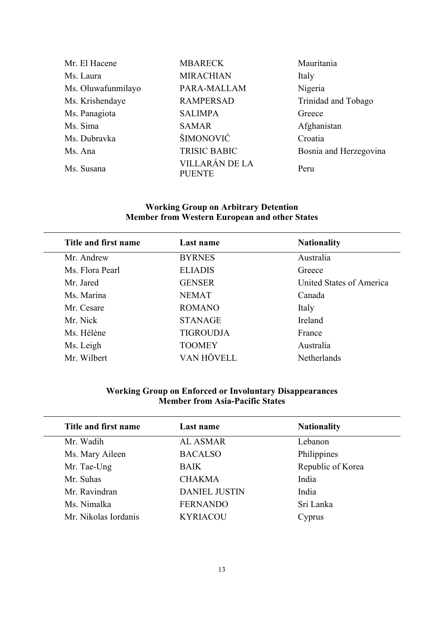| Mr. El Hacene      | <b>MBARECK</b>                  | Mauritania             |
|--------------------|---------------------------------|------------------------|
| Ms. Laura          | <b>MIRACHIAN</b>                | Italy                  |
| Ms. Oluwafunmilayo | PARA-MALLAM                     | Nigeria                |
| Ms. Krishendaye    | <b>RAMPERSAD</b>                | Trinidad and Tobago    |
| Ms. Panagiota      | <b>SALIMPA</b>                  | Greece                 |
| Ms. Sima           | <b>SAMAR</b>                    | Afghanistan            |
| Ms. Dubravka       | ŠIMONOVIĆ                       | Croatia                |
| Ms. Ana            | <b>TRISIC BABIC</b>             | Bosnia and Herzegovina |
| Ms. Susana         | VILLARÁN DE LA<br><b>PUENTE</b> | Peru                   |

#### **Working Group on Arbitrary Detention Member from Western European and other States**

| Title and first name | Last name        | <b>Nationality</b>       |
|----------------------|------------------|--------------------------|
| Mr. Andrew           | <b>BYRNES</b>    | Australia                |
| Ms. Flora Pearl      | <b>ELIADIS</b>   | Greece                   |
| Mr. Jared            | <b>GENSER</b>    | United States of America |
| Ms. Marina           | <b>NEMAT</b>     | Canada                   |
| Mr. Cesare           | <b>ROMANO</b>    | Italy                    |
| Mr. Nick             | <b>STANAGE</b>   | Ireland                  |
| Ms. Hélène           | <b>TIGROUDJA</b> | France                   |
| Ms. Leigh            | <b>TOOMEY</b>    | Australia                |
| Mr. Wilbert          | VAN HÖVELL       | Netherlands              |

#### **Working Group on Enforced or Involuntary Disappearances Member from Asia-Pacific States**

| Title and first name | Last name            | <b>Nationality</b> |
|----------------------|----------------------|--------------------|
| Mr. Wadih            | <b>AL ASMAR</b>      | Lebanon            |
| Ms. Mary Aileen      | <b>BACALSO</b>       | Philippines        |
| Mr. Tae-Ung          | <b>BAIK</b>          | Republic of Korea  |
| Mr. Suhas            | <b>CHAKMA</b>        | India              |
| Mr. Ravindran        | <b>DANIEL JUSTIN</b> | India              |
| Ms. Nimalka          | <b>FERNANDO</b>      | Sri Lanka          |
| Mr. Nikolas Iordanis | <b>KYRIACOU</b>      | Cyprus             |
|                      |                      |                    |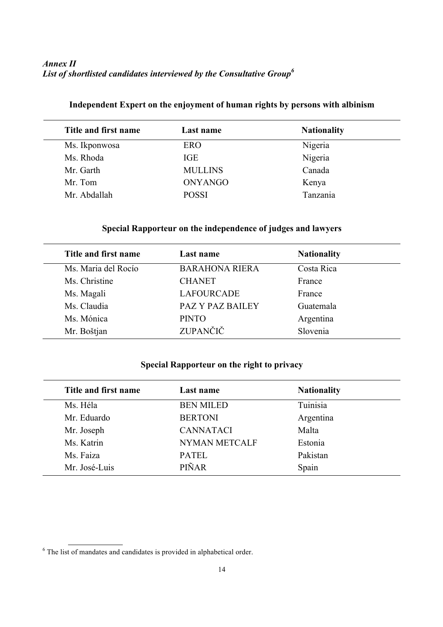| Title and first name | Last name      | <b>Nationality</b> |  |
|----------------------|----------------|--------------------|--|
| Ms. Ikponwosa        | ERO            | Nigeria            |  |
| Ms. Rhoda            | IGE            | Nigeria            |  |
| Mr. Garth            | <b>MULLINS</b> | Canada             |  |
| Mr. Tom              | <b>ONYANGO</b> | Kenya              |  |
| Mr. Abdallah         | <b>POSSI</b>   | Tanzania           |  |

# **Independent Expert on the enjoyment of human rights by persons with albinism**

# **Special Rapporteur on the independence of judges and lawyers**

| Title and first name | Last name               | <b>Nationality</b> |  |
|----------------------|-------------------------|--------------------|--|
| Ms. Maria del Rocío  | <b>BARAHONA RIERA</b>   | Costa Rica         |  |
| Ms. Christine        | <b>CHANET</b>           | France             |  |
| Ms. Magali           | <b>LAFOURCADE</b>       | France             |  |
| Ms. Claudia          | <b>PAZ Y PAZ BAILEY</b> | Guatemala          |  |
| Ms. Mónica           | <b>PINTO</b>            | Argentina          |  |
| Mr. Boštjan          | <b>ZUPANČIČ</b>         | Slovenia           |  |

# **Special Rapporteur on the right to privacy**

| Title and first name | Last name            | <b>Nationality</b> |  |
|----------------------|----------------------|--------------------|--|
| Ms. Héla             | <b>BEN MILED</b>     | Tuinisia           |  |
| Mr. Eduardo          | <b>BERTONI</b>       | Argentina          |  |
| Mr. Joseph           | <b>CANNATACI</b>     | Malta              |  |
| Ms. Katrin           | <b>NYMAN METCALF</b> | Estonia            |  |
| Ms. Faiza            | <b>PATEL</b>         | Pakistan           |  |
| Mr. José-Luis        | <b>PIÑAR</b>         | Spain              |  |

 $6$  The list of mandates and candidates is provided in alphabetical order.